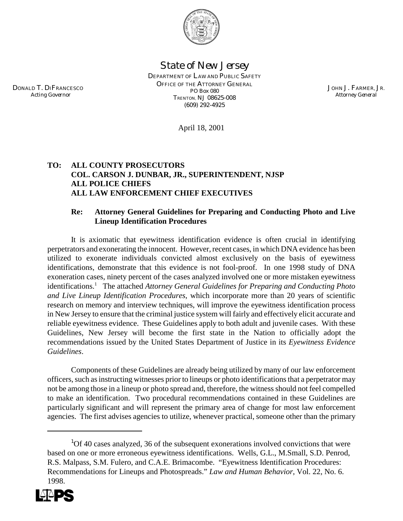

*State of New Jersey*

DEPARTMENT OF LAW AND PUBLIC SAFETY OFFICE OF THE ATTORNEY GENERAL PO Box 080 TRENTON, NJ 08625-008 (609) 292-4925

JOHN J. FARMER, JR. *Attorney General*

April 18, 2001

#### **TO: ALL COUNTY PROSECUTORS COL. CARSON J. DUNBAR, JR., SUPERINTENDENT, NJSP ALL POLICE CHIEFS ALL LAW ENFORCEMENT CHIEF EXECUTIVES**

#### **Re: Attorney General Guidelines for Preparing and Conducting Photo and Live Lineup Identification Procedures**

It is axiomatic that eyewitness identification evidence is often crucial in identifying perpetrators and exonerating the innocent. However, recent cases, in which DNA evidence has been utilized to exonerate individuals convicted almost exclusively on the basis of eyewitness identifications, demonstrate that this evidence is not fool-proof. In one 1998 study of DNA exoneration cases, ninety percent of the cases analyzed involved one or more mistaken eyewitness identifications.1 The attached *Attorney General Guidelines for Preparing and Conducting Photo and Live Lineup Identification Procedures*, which incorporate more than 20 years of scientific research on memory and interview techniques, will improve the eyewitness identification process in New Jersey to ensure that the criminal justice system will fairly and effectively elicit accurate and reliable eyewitness evidence. These Guidelines apply to both adult and juvenile cases. With these Guidelines, New Jersey will become the first state in the Nation to officially adopt the recommendations issued by the United States Department of Justice in its *Eyewitness Evidence Guidelines*.

Components of these Guidelines are already being utilized by many of our law enforcement officers, such as instructing witnesses prior to lineups or photo identifications that a perpetrator may not be among those in a lineup or photo spread and, therefore, the witness should not feel compelled to make an identification. Two procedural recommendations contained in these Guidelines are particularly significant and will represent the primary area of change for most law enforcement agencies. The first advises agencies to utilize, whenever practical, someone other than the primary

<sup>&</sup>lt;sup>1</sup>Of 40 cases analyzed, 36 of the subsequent exonerations involved convictions that were based on one or more erroneous eyewitness identifications. Wells, G.L., M.Small, S.D. Penrod, R.S. Malpass, S.M. Fulero, and C.A.E. Brimacombe. "Eyewitness Identification Procedures: Recommendations for Lineups and Photospreads." *Law and Human Behavior*, Vol. 22, No. 6. 1998.



DONALD T. DIFRANCESCO *Acting Governor*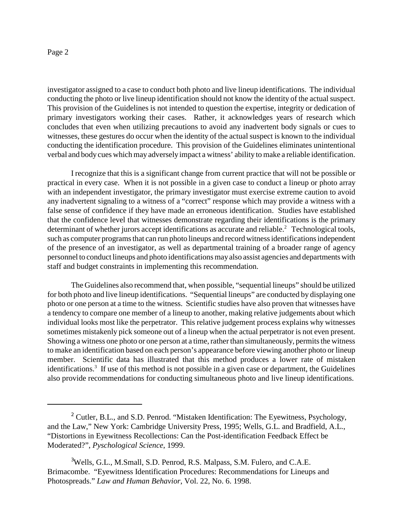#### Page 2

investigator assigned to a case to conduct both photo and live lineup identifications. The individual conducting the photo or live lineup identification should not know the identity of the actual suspect. This provision of the Guidelines is not intended to question the expertise, integrity or dedication of primary investigators working their cases. Rather, it acknowledges years of research which concludes that even when utilizing precautions to avoid any inadvertent body signals or cues to witnesses, these gestures do occur when the identity of the actual suspect is known to the individual conducting the identification procedure. This provision of the Guidelines eliminates unintentional verbal and body cues which may adversely impact a witness' ability to make a reliable identification.

I recognize that this is a significant change from current practice that will not be possible or practical in every case. When it is not possible in a given case to conduct a lineup or photo array with an independent investigator, the primary investigator must exercise extreme caution to avoid any inadvertent signaling to a witness of a "correct" response which may provide a witness with a false sense of confidence if they have made an erroneous identification. Studies have established that the confidence level that witnesses demonstrate regarding their identifications is the primary determinant of whether jurors accept identifications as accurate and reliable.<sup>2</sup> Technological tools, such as computer programs that can run photo lineups and record witness identifications independent of the presence of an investigator, as well as departmental training of a broader range of agency personnel to conduct lineups and photo identifications may also assist agencies and departments with staff and budget constraints in implementing this recommendation.

The Guidelines also recommend that, when possible, "sequential lineups" should be utilized for both photo and live lineup identifications. "Sequential lineups" are conducted by displaying one photo or one person at a time to the witness. Scientific studies have also proven that witnesses have a tendency to compare one member of a lineup to another, making relative judgements about which individual looks most like the perpetrator. This relative judgement process explains why witnesses sometimes mistakenly pick someone out of a lineup when the actual perpetrator is not even present. Showing a witness one photo or one person at a time, rather than simultaneously, permits the witness to make an identification based on each person's appearance before viewing another photo or lineup member. Scientific data has illustrated that this method produces a lower rate of mistaken identifications.<sup>3</sup> If use of this method is not possible in a given case or department, the Guidelines also provide recommendations for conducting simultaneous photo and live lineup identifications.

<sup>2</sup> Cutler, B.L., and S.D. Penrod. "Mistaken Identification: The Eyewitness, Psychology, and the Law," New York: Cambridge University Press, 1995; Wells, G.L. and Bradfield, A.L., "Distortions in Eyewitness Recollections: Can the Post-identification Feedback Effect be Moderated?", *Pyschological Science*, 1999.

<sup>&</sup>lt;sup>3</sup>Wells, G.L., M.Small, S.D. Penrod, R.S. Malpass, S.M. Fulero, and C.A.E. Brimacombe. "Eyewitness Identification Procedures: Recommendations for Lineups and Photospreads." *Law and Human Behavior*, Vol. 22, No. 6. 1998.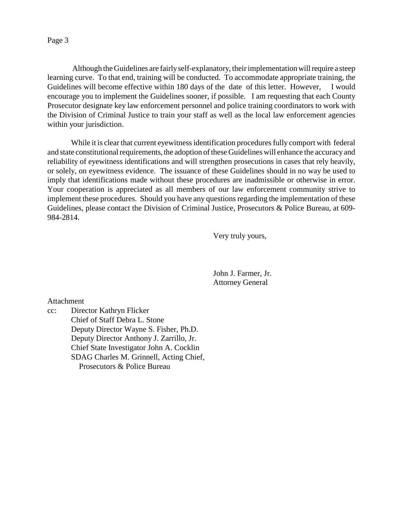Page 3

 Although the Guidelines are fairly self-explanatory, their implementation will require a steep learning curve. To that end, training will be conducted. To accommodate appropriate training, the Guidelines will become effective within 180 days of the date of this letter. However, I would encourage you to implement the Guidelines sooner, if possible. I am requesting that each County Prosecutor designate key law enforcement personnel and police training coordinators to work with the Division of Criminal Justice to train your staff as well as the local law enforcement agencies within your jurisdiction.

While it is clear that current eyewitness identification procedures fully comport with federal and state constitutional requirements, the adoption of these Guidelines will enhance the accuracy and reliability of eyewitness identifications and will strengthen prosecutions in cases that rely heavily, or solely, on eyewitness evidence. The issuance of these Guidelines should in no way be used to imply that identifications made without these procedures are inadmissible or otherwise in error. Your cooperation is appreciated as all members of our law enforcement community strive to implement these procedures. Should you have any questions regarding the implementation of these Guidelines, please contact the Division of Criminal Justice, Prosecutors & Police Bureau, at 609- 984-2814.

Very truly yours,

John J. Farmer, Jr. Attorney General

Attachment

cc: Director Kathryn Flicker Chief of Staff Debra L. Stone Deputy Director Wayne S. Fisher, Ph.D. Deputy Director Anthony J. Zarrillo, Jr. Chief State Investigator John A. Cocklin SDAG Charles M. Grinnell, Acting Chief, Prosecutors & Police Bureau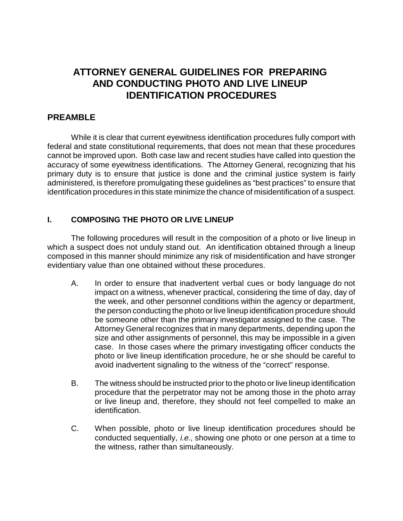# **ATTORNEY GENERAL GUIDELINES FOR PREPARING AND CONDUCTING PHOTO AND LIVE LINEUP IDENTIFICATION PROCEDURES**

### **PREAMBLE**

While it is clear that current eyewitness identification procedures fully comport with federal and state constitutional requirements, that does not mean that these procedures cannot be improved upon. Both case law and recent studies have called into question the accuracy of some eyewitness identifications. The Attorney General, recognizing that his primary duty is to ensure that justice is done and the criminal justice system is fairly administered, is therefore promulgating these guidelines as "best practices" to ensure that identification procedures in this state minimize the chance of misidentification of a suspect.

#### **I. COMPOSING THE PHOTO OR LIVE LINEUP**

The following procedures will result in the composition of a photo or live lineup in which a suspect does not unduly stand out. An identification obtained through a lineup composed in this manner should minimize any risk of misidentification and have stronger evidentiary value than one obtained without these procedures.

- A. In order to ensure that inadvertent verbal cues or body language do not impact on a witness, whenever practical, considering the time of day, day of the week, and other personnel conditions within the agency or department, the person conducting the photo or live lineup identification procedure should be someone other than the primary investigator assigned to the case. The Attorney General recognizes that in many departments, depending upon the size and other assignments of personnel, this may be impossible in a given case. In those cases where the primary investigating officer conducts the photo or live lineup identification procedure, he or she should be careful to avoid inadvertent signaling to the witness of the "correct" response.
- B. The witness should be instructed prior to the photo or live lineup identification procedure that the perpetrator may not be among those in the photo array or live lineup and, therefore, they should not feel compelled to make an identification.
- C. When possible, photo or live lineup identification procedures should be conducted sequentially, i.e., showing one photo or one person at a time to the witness, rather than simultaneously.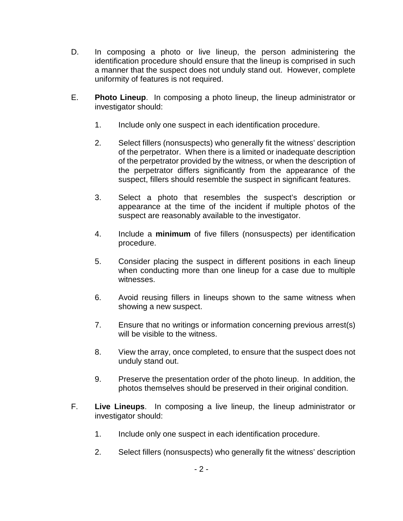- D. In composing a photo or live lineup, the person administering the identification procedure should ensure that the lineup is comprised in such a manner that the suspect does not unduly stand out. However, complete uniformity of features is not required.
- E. **Photo Lineup**. In composing a photo lineup, the lineup administrator or investigator should:
	- 1. Include only one suspect in each identification procedure.
	- 2. Select fillers (nonsuspects) who generally fit the witness' description of the perpetrator. When there is a limited or inadequate description of the perpetrator provided by the witness, or when the description of the perpetrator differs significantly from the appearance of the suspect, fillers should resemble the suspect in significant features.
	- 3. Select a photo that resembles the suspect's description or appearance at the time of the incident if multiple photos of the suspect are reasonably available to the investigator.
	- 4. Include a **minimum** of five fillers (nonsuspects) per identification procedure.
	- 5. Consider placing the suspect in different positions in each lineup when conducting more than one lineup for a case due to multiple witnesses.
	- 6. Avoid reusing fillers in lineups shown to the same witness when showing a new suspect.
	- 7. Ensure that no writings or information concerning previous arrest(s) will be visible to the witness.
	- 8. View the array, once completed, to ensure that the suspect does not unduly stand out.
	- 9. Preserve the presentation order of the photo lineup. In addition, the photos themselves should be preserved in their original condition.
- F. **Live Lineups**. In composing a live lineup, the lineup administrator or investigator should:
	- 1. Include only one suspect in each identification procedure.
	- 2. Select fillers (nonsuspects) who generally fit the witness' description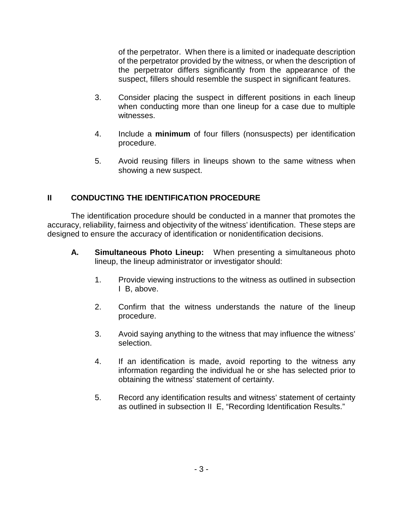of the perpetrator. When there is a limited or inadequate description of the perpetrator provided by the witness, or when the description of the perpetrator differs significantly from the appearance of the suspect, fillers should resemble the suspect in significant features.

- 3. Consider placing the suspect in different positions in each lineup when conducting more than one lineup for a case due to multiple witnesses.
- 4. Include a **minimum** of four fillers (nonsuspects) per identification procedure.
- 5. Avoid reusing fillers in lineups shown to the same witness when showing a new suspect.

## **II CONDUCTING THE IDENTIFICATION PROCEDURE**

The identification procedure should be conducted in a manner that promotes the accuracy, reliability, fairness and objectivity of the witness' identification. These steps are designed to ensure the accuracy of identification or nonidentification decisions.

- **A. Simultaneous Photo Lineup:** When presenting a simultaneous photo lineup, the lineup administrator or investigator should:
	- 1. Provide viewing instructions to the witness as outlined in subsection I B, above.
	- 2. Confirm that the witness understands the nature of the lineup procedure.
	- 3. Avoid saying anything to the witness that may influence the witness' selection.
	- 4. If an identification is made, avoid reporting to the witness any information regarding the individual he or she has selected prior to obtaining the witness' statement of certainty.
	- 5. Record any identification results and witness' statement of certainty as outlined in subsection II E, "Recording Identification Results."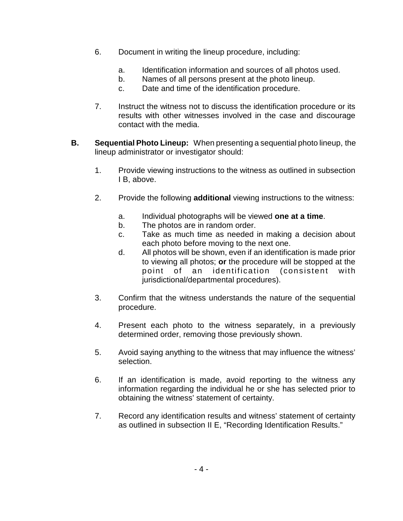- 6. Document in writing the lineup procedure, including:
	- a. Identification information and sources of all photos used.
	- b. Names of all persons present at the photo lineup.
	- c. Date and time of the identification procedure.
- 7. Instruct the witness not to discuss the identification procedure or its results with other witnesses involved in the case and discourage contact with the media.
- **B. Sequential Photo Lineup:** When presenting a sequential photo lineup, the lineup administrator or investigator should:
	- 1. Provide viewing instructions to the witness as outlined in subsection I B, above.
	- 2. Provide the following **additional** viewing instructions to the witness:
		- a. Individual photographs will be viewed **one at a time**.
		- b. The photos are in random order.
		- c. Take as much time as needed in making a decision about each photo before moving to the next one.
		- d. All photos will be shown, even if an identification is made prior to viewing all photos; **or** the procedure will be stopped at the point of an identification (consistent with jurisdictional/departmental procedures).
	- 3. Confirm that the witness understands the nature of the sequential procedure.
	- 4. Present each photo to the witness separately, in a previously determined order, removing those previously shown.
	- 5. Avoid saying anything to the witness that may influence the witness' selection.
	- 6. If an identification is made, avoid reporting to the witness any information regarding the individual he or she has selected prior to obtaining the witness' statement of certainty.
	- 7. Record any identification results and witness' statement of certainty as outlined in subsection II E, "Recording Identification Results."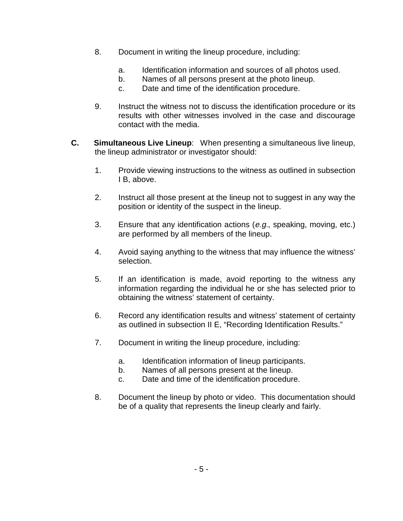- 8. Document in writing the lineup procedure, including:
	- a. Identification information and sources of all photos used.
	- b. Names of all persons present at the photo lineup.
	- c. Date and time of the identification procedure.
- 9. Instruct the witness not to discuss the identification procedure or its results with other witnesses involved in the case and discourage contact with the media.
- **C. Simultaneous Live Lineup**: When presenting a simultaneous live lineup, the lineup administrator or investigator should:
	- 1. Provide viewing instructions to the witness as outlined in subsection I B, above.
	- 2. Instruct all those present at the lineup not to suggest in any way the position or identity of the suspect in the lineup.
	- 3. Ensure that any identification actions (e.g., speaking, moving, etc.) are performed by all members of the lineup.
	- 4. Avoid saying anything to the witness that may influence the witness' selection.
	- 5. If an identification is made, avoid reporting to the witness any information regarding the individual he or she has selected prior to obtaining the witness' statement of certainty.
	- 6. Record any identification results and witness' statement of certainty as outlined in subsection II E, "Recording Identification Results."
	- 7. Document in writing the lineup procedure, including:
		- a. Identification information of lineup participants.
		- b. Names of all persons present at the lineup.
		- c. Date and time of the identification procedure.
	- 8. Document the lineup by photo or video. This documentation should be of a quality that represents the lineup clearly and fairly.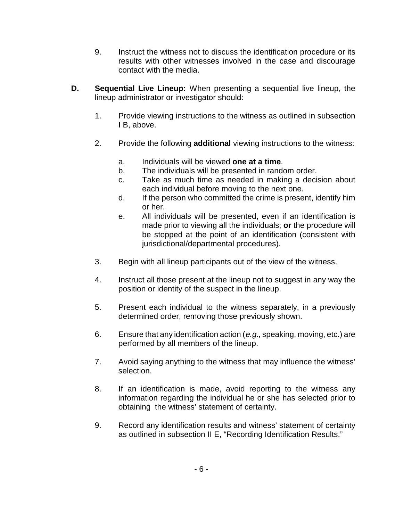- 9. Instruct the witness not to discuss the identification procedure or its results with other witnesses involved in the case and discourage contact with the media.
- **D. Sequential Live Lineup:** When presenting a sequential live lineup, the lineup administrator or investigator should:
	- 1. Provide viewing instructions to the witness as outlined in subsection I B, above.
	- 2. Provide the following **additional** viewing instructions to the witness:
		- a. Individuals will be viewed **one at a time**.
		- b. The individuals will be presented in random order.
		- c. Take as much time as needed in making a decision about each individual before moving to the next one.
		- d. If the person who committed the crime is present, identify him or her.
		- e. All individuals will be presented, even if an identification is made prior to viewing all the individuals; **or** the procedure will be stopped at the point of an identification (consistent with jurisdictional/departmental procedures).
	- 3. Begin with all lineup participants out of the view of the witness.
	- 4. Instruct all those present at the lineup not to suggest in any way the position or identity of the suspect in the lineup.
	- 5. Present each individual to the witness separately, in a previously determined order, removing those previously shown.
	- 6. Ensure that any identification action (e.g., speaking, moving, etc.) are performed by all members of the lineup.
	- 7. Avoid saying anything to the witness that may influence the witness' selection.
	- 8. If an identification is made, avoid reporting to the witness any information regarding the individual he or she has selected prior to obtaining the witness' statement of certainty.
	- 9. Record any identification results and witness' statement of certainty as outlined in subsection II E, "Recording Identification Results."